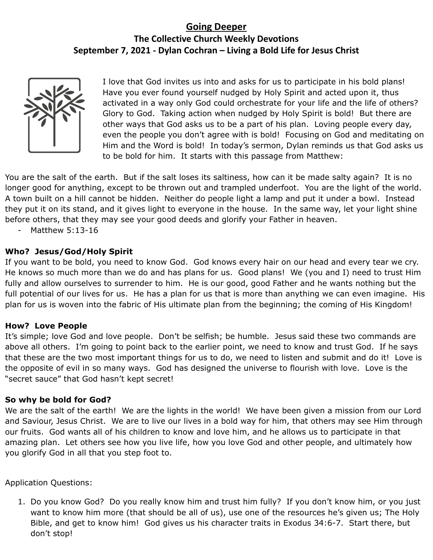## **Going Deeper The Collective Church Weekly Devotions September 7, 2021 - Dylan Cochran – Living a Bold Life for Jesus Christ**



I love that God invites us into and asks for us to participate in his bold plans! Have you ever found yourself nudged by Holy Spirit and acted upon it, thus activated in a way only God could orchestrate for your life and the life of others? Glory to God. Taking action when nudged by Holy Spirit is bold! But there are other ways that God asks us to be a part of his plan. Loving people every day, even the people you don't agree with is bold! Focusing on God and meditating on Him and the Word is bold! In today's sermon, Dylan reminds us that God asks us to be bold for him. It starts with this passage from Matthew:

You are the salt of the earth. But if the salt loses its saltiness, how can it be made salty again? It is no longer good for anything, except to be thrown out and trampled underfoot. You are the light of the world. A town built on a hill cannot be hidden. Neither do people light a lamp and put it under a bowl. Instead they put it on its stand, and it gives light to everyone in the house. In the same way, let your light shine before others, that they may see your good deeds and glorify your Father in heaven.

- Matthew 5:13-16

## **Who? Jesus/God/Holy Spirit**

If you want to be bold, you need to know God. God knows every hair on our head and every tear we cry. He knows so much more than we do and has plans for us. Good plans! We (you and I) need to trust Him fully and allow ourselves to surrender to him. He is our good, good Father and he wants nothing but the full potential of our lives for us. He has a plan for us that is more than anything we can even imagine. His plan for us is woven into the fabric of His ultimate plan from the beginning; the coming of His Kingdom!

## **How? Love People**

It's simple; love God and love people. Don't be selfish; be humble. Jesus said these two commands are above all others. I'm going to point back to the earlier point, we need to know and trust God. If he says that these are the two most important things for us to do, we need to listen and submit and do it! Love is the opposite of evil in so many ways. God has designed the universe to flourish with love. Love is the "secret sauce" that God hasn't kept secret!

## **So why be bold for God?**

We are the salt of the earth! We are the lights in the world! We have been given a mission from our Lord and Saviour, Jesus Christ. We are to live our lives in a bold way for him, that others may see Him through our fruits. God wants all of his children to know and love him, and he allows us to participate in that amazing plan. Let others see how you live life, how you love God and other people, and ultimately how you glorify God in all that you step foot to.

Application Questions:

1. Do you know God? Do you really know him and trust him fully? If you don't know him, or you just want to know him more (that should be all of us), use one of the resources he's given us; The Holy Bible, and get to know him! God gives us his character traits in Exodus 34:6-7. Start there, but don't stop!